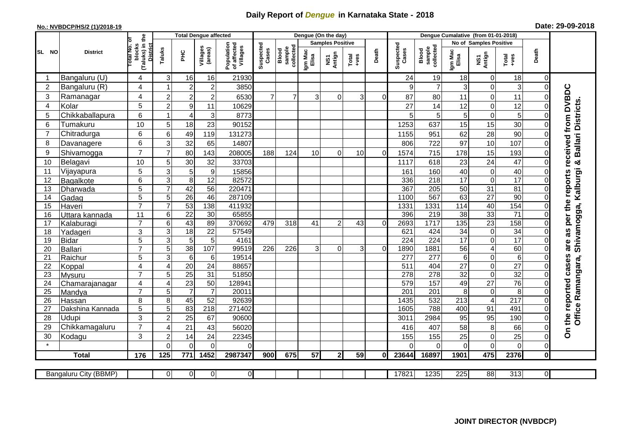## **Daily Report of** *Dengue* **in Karnataka State - 2018**

## **No.: NVBDCP/HS/2 (1)/2018-19 Date: 29-09-2018**

|                | <b>District</b>              |                                                      | <b>Total Dengue affected</b> |                 |                     |                                       |                    |                              | Dengue (On the day)     |                |                  |          |                          |                              |                                   |                                  |                      |                      |                                                 |
|----------------|------------------------------|------------------------------------------------------|------------------------------|-----------------|---------------------|---------------------------------------|--------------------|------------------------------|-------------------------|----------------|------------------|----------|--------------------------|------------------------------|-----------------------------------|----------------------------------|----------------------|----------------------|-------------------------------------------------|
|                |                              |                                                      |                              |                 |                     | Population<br>of affected<br>Villages | Suspected<br>Cases |                              | <b>Samples Positive</b> |                |                  |          |                          |                              |                                   | No of Samples Positive           |                      |                      |                                                 |
| SL NO          |                              | (Taluks) in the<br>District<br>otal No. of<br>blocks | Taluks                       | Ξ               | Villages<br>(areas) |                                       |                    | sample<br>collected<br>Blood | Igm Mac<br>Elisa        | NS1<br>Antign  | $Tota$<br>$+ves$ | Death    | Suspected<br>Cases       | collected<br>Blood<br>sample | Igm Mac<br>Elisa                  | NS1<br>Antign                    | Total<br>+ves        | Death                |                                                 |
|                | Bangaluru (U)                | 4                                                    | 3                            | 16              | 16                  | 21930                                 |                    |                              |                         |                |                  |          | 24                       | 19                           | 18                                | $\mathbf 0$                      | 18                   | $\Omega$             |                                                 |
| $\overline{2}$ | Bangaluru (R)                | $\overline{4}$                                       |                              | $\overline{2}$  | $\overline{c}$      | 3850                                  |                    |                              |                         |                |                  |          | 9                        | $\overline{7}$               | 3                                 | $\mathbf 0$                      | 3                    | $\Omega$             |                                                 |
| 3              | Ramanagar                    | 4                                                    | $\overline{2}$               | $\overline{c}$  | $\overline{c}$      | 6530                                  | $\overline{7}$     | $\overline{7}$               | 3                       | $\Omega$       | 3                | 0        | 87                       | 80                           | 11                                | $\overline{0}$                   | 11                   | $\Omega$             | are as per the reports received from DVBDC<br>Ŵ |
| 4              | Kolar                        | 5                                                    | $\overline{c}$               | $9\,$           | 11                  | 10629                                 |                    |                              |                         |                |                  |          | 27                       | 14                           | 12                                | 0                                | 12                   | $\Omega$             |                                                 |
| 5              | Chikkaballapura              | 6                                                    |                              | $\overline{4}$  | 3                   | 8773                                  |                    |                              |                         |                |                  |          | 5                        | 5                            | 5                                 | $\mathbf 0$                      | 5                    | $\Omega$             | <b>Ballari Districts</b>                        |
| 6              | Tumakuru                     | 10                                                   | 5                            | 18              | 23                  | 90152                                 |                    |                              |                         |                |                  |          | 1253                     | 637                          | 15                                | 15                               | 30                   | $\Omega$             |                                                 |
| $\overline{7}$ | Chitradurga                  | 6                                                    | 6                            | 49              | 119                 | 131273                                |                    |                              |                         |                |                  |          | 1155                     | 951                          | 62                                | 28                               | 90                   | $\Omega$             |                                                 |
| 8              | Davanagere                   | 6                                                    | 3                            | 32              | 65                  | 14807                                 |                    |                              |                         |                |                  |          | 806                      | 722                          | 97                                | 10                               | 107                  | 0                    |                                                 |
| 9              | Shivamogga                   | $\overline{7}$                                       | $\overline{7}$               | 80              | 143                 | 208005                                | 188                | 124                          | 10                      | $\Omega$       | 10               | $\Omega$ | 1574                     | 715                          | 178                               | 15                               | 193                  | $\Omega$             |                                                 |
| 10             | Belagavi                     | 10                                                   | 5                            | 30              | 32                  | 33703                                 |                    |                              |                         |                |                  |          | 1117                     | 618                          | 23                                | 24                               | 47                   | $\Omega$             | ×                                               |
| 11             | Vijayapura                   | 5                                                    | 3                            | 5               | $\boldsymbol{9}$    | 15856                                 |                    |                              |                         |                |                  |          | 161                      | 160                          | 40                                | $\mathbf 0$                      | 40                   | $\Omega$             |                                                 |
| 12             | Bagalkote                    | 6                                                    | 3                            | 8               | 12                  | 82572                                 |                    |                              |                         |                |                  |          | 336                      | 218                          | 17                                | $\mathbf 0$                      | 17                   | $\Omega$             | Shivamogga, Kalburgi                            |
| 13             | Dharwada                     | 5                                                    | $\overline{7}$               | 42              | $\overline{56}$     | 220471                                |                    |                              |                         |                |                  |          | 367                      | $\overline{205}$             | 50                                | $\overline{31}$                  | $\overline{81}$      | $\Omega$             |                                                 |
| 14             | Gadag                        | $\overline{5}$                                       | 5                            | 26              | 46                  | 287109                                |                    |                              |                         |                |                  |          | 1100                     | 567                          | 63                                | $\overline{27}$                  | 90                   | $\mathbf 0$          |                                                 |
| 15             | Haveri                       | $\overline{7}$                                       | $\overline{7}$               | 53              | 138                 | 411932                                |                    |                              |                         |                |                  |          | 1331                     | 1331                         | 114                               | 40                               | 154                  | $\mathbf 0$          |                                                 |
| 16             | Uttara kannada               | 11                                                   | 6                            | $\overline{22}$ | 30                  | 65855                                 |                    |                              |                         |                |                  |          | 396                      | 219                          | $\overline{38}$                   | 33                               | $\overline{71}$      | $\Omega$             |                                                 |
| 17             | Kalaburagi                   | $\overline{7}$                                       | 6                            | 43              | 89                  | 370692                                | 479                | 318                          | 41                      | $\overline{2}$ | 43               | $\Omega$ | 2693                     | 1717                         | 135                               | $\overline{23}$                  | 158                  | 0                    |                                                 |
| 18             | Yadageri                     | 3                                                    | 3                            | 18              | 22                  | 57549                                 |                    |                              |                         |                |                  |          | 621                      | 424                          | 34                                | $\boldsymbol{0}$                 | $\overline{34}$      | $\Omega$             |                                                 |
| 19             | Bidar                        | $\overline{5}$                                       | 3                            | 5               | 5                   | 4161                                  |                    |                              |                         |                |                  |          | $\overline{224}$         | $\overline{224}$             | 17                                | $\overline{0}$                   | 17                   | $\Omega$             |                                                 |
| 20<br>21       | Ballari<br>Raichur           | $\overline{7}$<br>$\overline{5}$                     | 5<br>$\overline{3}$          | 38<br>6         | 107<br>$\,6$        | 99519<br>19514                        | 226                | 226                          | $\overline{3}$          | $\mathbf 0$    | 3                | $\Omega$ | 1890<br>$\overline{277}$ | 1881<br>277                  | $\overline{56}$<br>$6\phantom{a}$ | $\overline{4}$<br>$\overline{0}$ | 60<br>$\overline{6}$ | $\Omega$<br>$\Omega$ |                                                 |
| 22             | Koppal                       | 4                                                    | $\overline{4}$               | 20              | 24                  | 88657                                 |                    |                              |                         |                |                  |          | 511                      | 404                          | 27                                | $\mathbf 0$                      | $\overline{27}$      | 0                    |                                                 |
| 23             | Mysuru                       | $\overline{7}$                                       | 5                            | $\overline{25}$ | 31                  | 51850                                 |                    |                              |                         |                |                  |          | $\overline{278}$         | $\overline{278}$             | $\overline{32}$                   | $\overline{0}$                   | 32                   | $\Omega$             |                                                 |
| 24             | Chamarajanagar               | $\overline{4}$                                       | $\overline{4}$               | $\overline{23}$ | 50                  | 12894 <sup>-</sup>                    |                    |                              |                         |                |                  |          | 579                      | 157                          | 49                                | $\overline{27}$                  | 76                   | $\Omega$             |                                                 |
| 25             | Mandya                       | $\overline{7}$                                       | 5                            | $\overline{7}$  | $\overline{7}$      | 20011                                 |                    |                              |                         |                |                  |          | $\overline{201}$         | $\overline{201}$             | 8                                 | $\boldsymbol{0}$                 | 8                    | $\Omega$             |                                                 |
| 26             | Hassan                       | 8                                                    | 8                            | 45              | 52                  | 92639                                 |                    |                              |                         |                |                  |          | 1435                     | 532                          | 213                               | $\overline{4}$                   | $\overline{217}$     | $\Omega$             |                                                 |
| 27             | Dakshina Kannada             | 5                                                    | 5                            | $\overline{83}$ | 218                 | 271402                                |                    |                              |                         |                |                  |          | 1605                     | 788                          | 400                               | 91                               | 491                  | $\Omega$             |                                                 |
| 28             | Udupi                        | 3                                                    | $\overline{2}$               | 25              | 67                  | 90600                                 |                    |                              |                         |                |                  |          | 3011                     | 2984                         | 95                                | 95                               | 190                  | $\Omega$             | Office Ramangara,                               |
| 29             | Chikkamagaluru               | $\overline{7}$                                       | 4                            | 21              | 43                  | 56020                                 |                    |                              |                         |                |                  |          | 416                      | 407                          | 58                                | 8                                | 66                   | 0                    | On the reported cases                           |
| 30             | Kodagu                       | 3                                                    | $\overline{c}$               | 14              | 24                  | 22345                                 |                    |                              |                         |                |                  |          | 155                      | 155                          | 25                                | $\mathbf 0$                      | 25                   | 0                    |                                                 |
| $\star$        |                              |                                                      | $\Omega$                     | $\Omega$        | $\Omega$            | 0                                     |                    |                              |                         |                |                  |          | ∩                        | $\Omega$                     | $\Omega$                          | $\mathbf 0$                      | $\mathbf 0$          | $\Omega$             |                                                 |
|                | <b>Total</b>                 | 176                                                  | 125                          | 771             | 1452                | 2987347                               | 900                | 675                          | 57                      | $\overline{2}$ | 59               | 0I       | 23644                    | 16897                        | 1901                              | 475                              | 2376                 | 0                    |                                                 |
|                |                              |                                                      |                              |                 |                     |                                       |                    |                              |                         |                |                  |          |                          |                              |                                   |                                  |                      |                      |                                                 |
|                | <b>Bangaluru City (BBMP)</b> |                                                      | $\overline{0}$               | $\overline{0}$  | 0                   | $\overline{0}$                        |                    |                              |                         |                |                  |          | 17821                    | 1235                         | 225                               | 88                               | 313                  | $\overline{0}$       |                                                 |